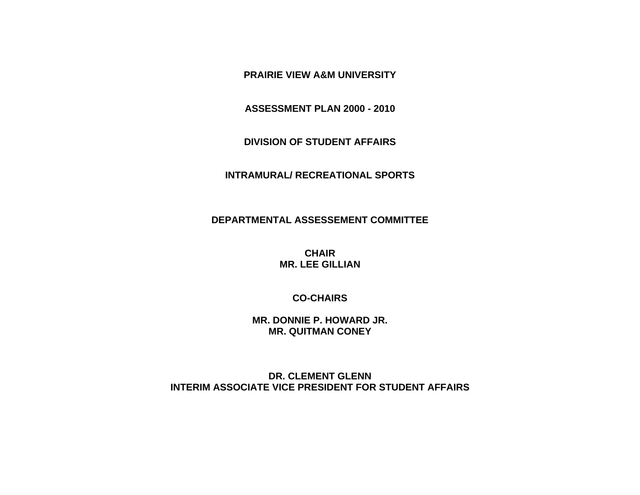**PRAIRIE VIEW A&M UNIVERSITY** 

**ASSESSMENT PLAN 2000 - 2010** 

**DIVISION OF STUDENT AFFAIRS** 

#### **INTRAMURAL/ RECREATIONAL SPORTS**

### **DEPARTMENTAL ASSESSEMENT COMMITTEE**

**CHAIR MR. LEE GILLIAN** 

**CO-CHAIRS** 

**MR. DONNIE P. HOWARD JR. MR. QUITMAN CONEY** 

**DR. CLEMENT GLENN INTERIM ASSOCIATE VICE PRESIDENT FOR STUDENT AFFAIRS**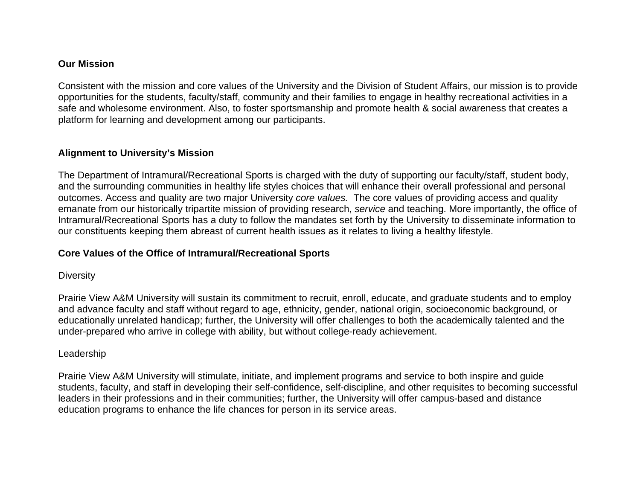# **Our Mission**

Consistent with the mission and core values of the University and the Division of Student Affairs, our mission is to provide opportunities for the students, faculty/staff, community and their families to engage in healthy recreational activities in a safe and wholesome environment. Also, to foster sportsmanship and promote health & social awareness that creates a platform for learning and development among our participants.

## **Alignment to University's Mission**

The Department of Intramural/Recreational Sports is charged with the duty of supporting our faculty/staff, student body, and the surrounding communities in healthy life styles choices that will enhance their overall professional and personal outcomes. Access and quality are two major University *core values.* The core values of providing access and quality emanate from our historically tripartite mission of providing research, *service* and teaching. More importantly, the office of Intramural/Recreational Sports has a duty to follow the mandates set forth by the University to disseminate information to our constituents keeping them abreast of current health issues as it relates to living a healthy lifestyle.

### **Core Values of the Office of Intramural/Recreational Sports**

### **Diversity**

Prairie View A&M University will sustain its commitment to recruit, enroll, educate, and graduate students and to employ and advance faculty and staff without regard to age, ethnicity, gender, national origin, socioeconomic background, or educationally unrelated handicap; further, the University will offer challenges to both the academically talented and the under-prepared who arrive in college with ability, but without college-ready achievement.

### Leadership

Prairie View A&M University will stimulate, initiate, and implement programs and service to both inspire and guide students, faculty, and staff in developing their self-confidence, self-discipline, and other requisites to becoming successful leaders in their professions and in their communities; further, the University will offer campus-based and distance education programs to enhance the life chances for person in its service areas.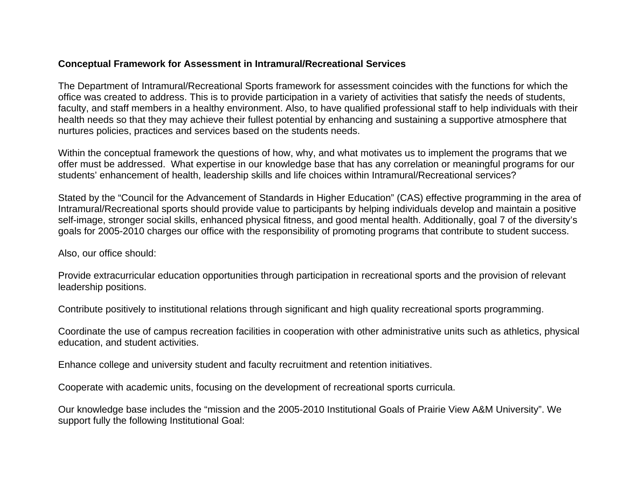## **Conceptual Framework for Assessment in Intramural/Recreational Services**

The Department of Intramural/Recreational Sports framework for assessment coincides with the functions for which the office was created to address. This is to provide participation in a variety of activities that satisfy the needs of students, faculty, and staff members in a healthy environment. Also, to have qualified professional staff to help individuals with their health needs so that they may achieve their fullest potential by enhancing and sustaining a supportive atmosphere that nurtures policies, practices and services based on the students needs.

Within the conceptual framework the questions of how, why, and what motivates us to implement the programs that we offer must be addressed. What expertise in our knowledge base that has any correlation or meaningful programs for our students' enhancement of health, leadership skills and life choices within Intramural/Recreational services?

Stated by the "Council for the Advancement of Standards in Higher Education" (CAS) effective programming in the area of Intramural/Recreational sports should provide value to participants by helping individuals develop and maintain a positive self-image, stronger social skills, enhanced physical fitness, and good mental health. Additionally, goal 7 of the diversity's goals for 2005-2010 charges our office with the responsibility of promoting programs that contribute to student success.

Also, our office should:

Provide extracurricular education opportunities through participation in recreational sports and the provision of relevant leadership positions.

Contribute positively to institutional relations through significant and high quality recreational sports programming.

Coordinate the use of campus recreation facilities in cooperation with other administrative units such as athletics, physical education, and student activities.

Enhance college and university student and faculty recruitment and retention initiatives.

Cooperate with academic units, focusing on the development of recreational sports curricula.

Our knowledge base includes the "mission and the 2005-2010 Institutional Goals of Prairie View A&M University". We support fully the following Institutional Goal: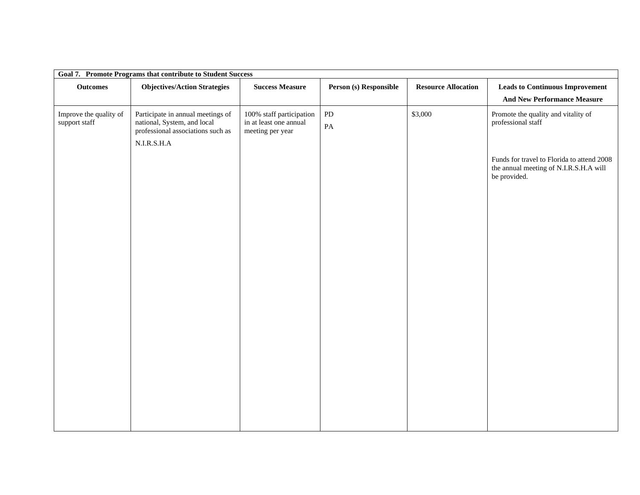| Goal 7. Promote Programs that contribute to Student Success |                                                                                                                        |                                                                        |                             |                            |                                                                                                      |  |
|-------------------------------------------------------------|------------------------------------------------------------------------------------------------------------------------|------------------------------------------------------------------------|-----------------------------|----------------------------|------------------------------------------------------------------------------------------------------|--|
| <b>Outcomes</b>                                             | <b>Objectives/Action Strategies</b>                                                                                    | <b>Success Measure</b>                                                 | Person (s) Responsible      | <b>Resource Allocation</b> | <b>Leads to Continuous Improvement</b><br><b>And New Performance Measure</b>                         |  |
| Improve the quality of<br>support staff                     | Participate in annual meetings of<br>national, System, and local<br>professional associations such as<br>$N.I.R.S.H.A$ | 100% staff participation<br>in at least one annual<br>meeting per year | ${\rm PD}$<br>$\mathbf{PA}$ | \$3,000                    | Promote the quality and vitality of<br>professional staff                                            |  |
|                                                             |                                                                                                                        |                                                                        |                             |                            | Funds for travel to Florida to attend 2008<br>the annual meeting of N.I.R.S.H.A will<br>be provided. |  |
|                                                             |                                                                                                                        |                                                                        |                             |                            |                                                                                                      |  |
|                                                             |                                                                                                                        |                                                                        |                             |                            |                                                                                                      |  |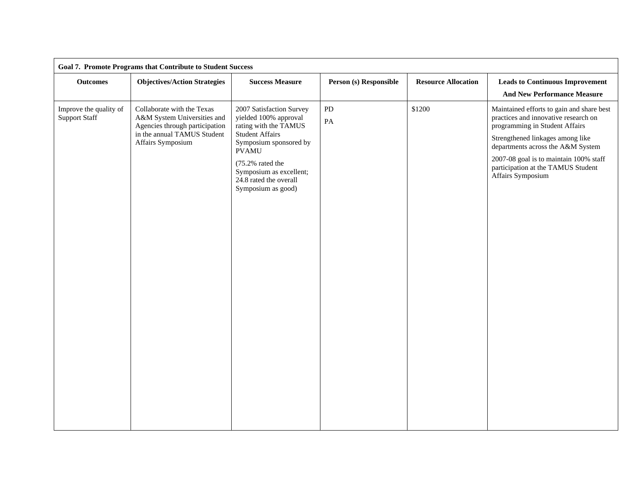| <b>Goal 7. Promote Programs that Contribute to Student Success</b> |                                                                                                                                                 |                                                                                                                                                |                        |                            |                                                                                                                     |  |
|--------------------------------------------------------------------|-------------------------------------------------------------------------------------------------------------------------------------------------|------------------------------------------------------------------------------------------------------------------------------------------------|------------------------|----------------------------|---------------------------------------------------------------------------------------------------------------------|--|
| <b>Outcomes</b>                                                    | <b>Objectives/Action Strategies</b>                                                                                                             | <b>Success Measure</b>                                                                                                                         | Person (s) Responsible | <b>Resource Allocation</b> | <b>Leads to Continuous Improvement</b><br><b>And New Performance Measure</b>                                        |  |
| Improve the quality of<br><b>Support Staff</b>                     | Collaborate with the Texas<br>A&M System Universities and<br>Agencies through participation<br>in the annual TAMUS Student<br>Affairs Symposium | 2007 Satisfaction Survey<br>yielded 100% approval<br>rating with the TAMUS<br><b>Student Affairs</b><br>Symposium sponsored by<br><b>PVAMU</b> | ${\rm PD}$<br>PA       | \$1200                     | Maintained efforts to gain and share best<br>practices and innovative research on<br>programming in Student Affairs |  |
|                                                                    |                                                                                                                                                 |                                                                                                                                                |                        |                            | Strengthened linkages among like<br>departments across the A&M System                                               |  |
|                                                                    |                                                                                                                                                 | (75.2% rated the<br>Symposium as excellent;<br>24.8 rated the overall<br>Symposium as good)                                                    |                        |                            | 2007-08 goal is to maintain 100% staff<br>participation at the TAMUS Student<br>Affairs Symposium                   |  |
|                                                                    |                                                                                                                                                 |                                                                                                                                                |                        |                            |                                                                                                                     |  |
|                                                                    |                                                                                                                                                 |                                                                                                                                                |                        |                            |                                                                                                                     |  |
|                                                                    |                                                                                                                                                 |                                                                                                                                                |                        |                            |                                                                                                                     |  |
|                                                                    |                                                                                                                                                 |                                                                                                                                                |                        |                            |                                                                                                                     |  |
|                                                                    |                                                                                                                                                 |                                                                                                                                                |                        |                            |                                                                                                                     |  |
|                                                                    |                                                                                                                                                 |                                                                                                                                                |                        |                            |                                                                                                                     |  |
|                                                                    |                                                                                                                                                 |                                                                                                                                                |                        |                            |                                                                                                                     |  |
|                                                                    |                                                                                                                                                 |                                                                                                                                                |                        |                            |                                                                                                                     |  |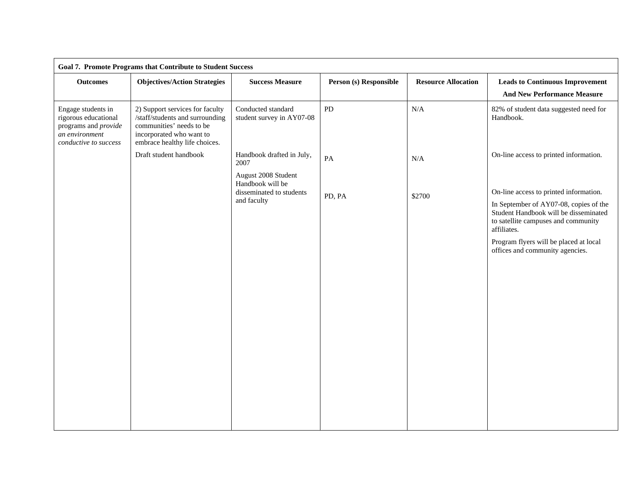| <b>Goal 7. Promote Programs that Contribute to Student Success</b>                                            |                                                                                                                                                             |                                                                                    |                        |                            |                                                                                                                                                                                                                                                              |  |
|---------------------------------------------------------------------------------------------------------------|-------------------------------------------------------------------------------------------------------------------------------------------------------------|------------------------------------------------------------------------------------|------------------------|----------------------------|--------------------------------------------------------------------------------------------------------------------------------------------------------------------------------------------------------------------------------------------------------------|--|
| <b>Outcomes</b>                                                                                               | <b>Objectives/Action Strategies</b>                                                                                                                         | <b>Success Measure</b>                                                             | Person (s) Responsible | <b>Resource Allocation</b> | <b>Leads to Continuous Improvement</b><br><b>And New Performance Measure</b>                                                                                                                                                                                 |  |
| Engage students in<br>rigorous educational<br>programs and provide<br>an environment<br>conductive to success | 2) Support services for faculty<br>/staff/students and surrounding<br>communities' needs to be<br>incorporated who want to<br>embrace healthy life choices. | Conducted standard<br>student survey in AY07-08                                    | PD                     | N/A                        | 82% of student data suggested need for<br>Handbook.                                                                                                                                                                                                          |  |
|                                                                                                               | Draft student handbook                                                                                                                                      | Handbook drafted in July,<br>2007                                                  | PA                     | N/A                        | On-line access to printed information.                                                                                                                                                                                                                       |  |
|                                                                                                               |                                                                                                                                                             | August 2008 Student<br>Handbook will be<br>disseminated to students<br>and faculty | PD, PA                 | \$2700                     | On-line access to printed information.<br>In September of AY07-08, copies of the<br>Student Handbook will be disseminated<br>to satellite campuses and community<br>affiliates.<br>Program flyers will be placed at local<br>offices and community agencies. |  |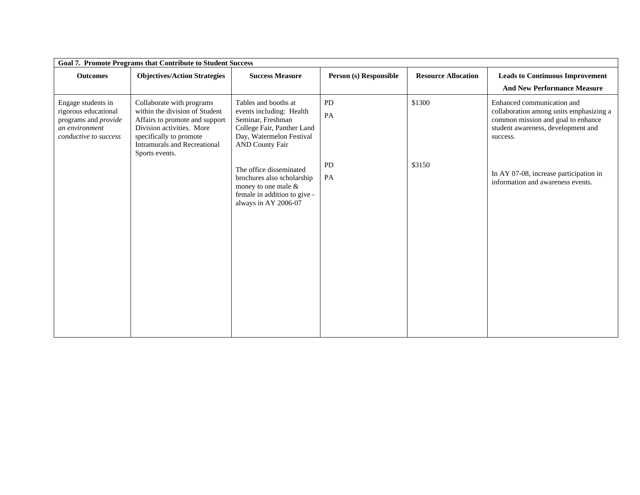| <b>Goal 7. Promote Programs that Contribute to Student Success</b>                                                                                                                                             |                                                                                                                                                           |                        |                            |                                                                                                                                                               |  |  |
|----------------------------------------------------------------------------------------------------------------------------------------------------------------------------------------------------------------|-----------------------------------------------------------------------------------------------------------------------------------------------------------|------------------------|----------------------------|---------------------------------------------------------------------------------------------------------------------------------------------------------------|--|--|
| <b>Objectives/Action Strategies</b>                                                                                                                                                                            | <b>Success Measure</b>                                                                                                                                    | Person (s) Responsible | <b>Resource Allocation</b> | <b>Leads to Continuous Improvement</b><br><b>And New Performance Measure</b>                                                                                  |  |  |
| Collaborate with programs<br>within the division of Student<br>Affairs to promote and support<br>Division activities. More<br>specifically to promote<br><b>Intramurals and Recreational</b><br>Sports events. | Tables and booths at<br>events including: Health<br>Seminar, Freshman<br>College Fair, Panther Land<br>Day, Watermelon Festival<br><b>AND County Fair</b> | <b>PD</b><br>PA        | \$1300                     | Enhanced communication and<br>collaboration among units emphasizing a<br>common mission and goal to enhance<br>student awareness, development and<br>success. |  |  |
|                                                                                                                                                                                                                | The office disseminated<br>brochures also scholarship<br>money to one male &<br>female in addition to give -<br>always in AY 2006-07                      | <b>PD</b><br>PA        | \$3150                     | In AY 07-08, increase participation in<br>information and awareness events.                                                                                   |  |  |
|                                                                                                                                                                                                                |                                                                                                                                                           |                        |                            |                                                                                                                                                               |  |  |